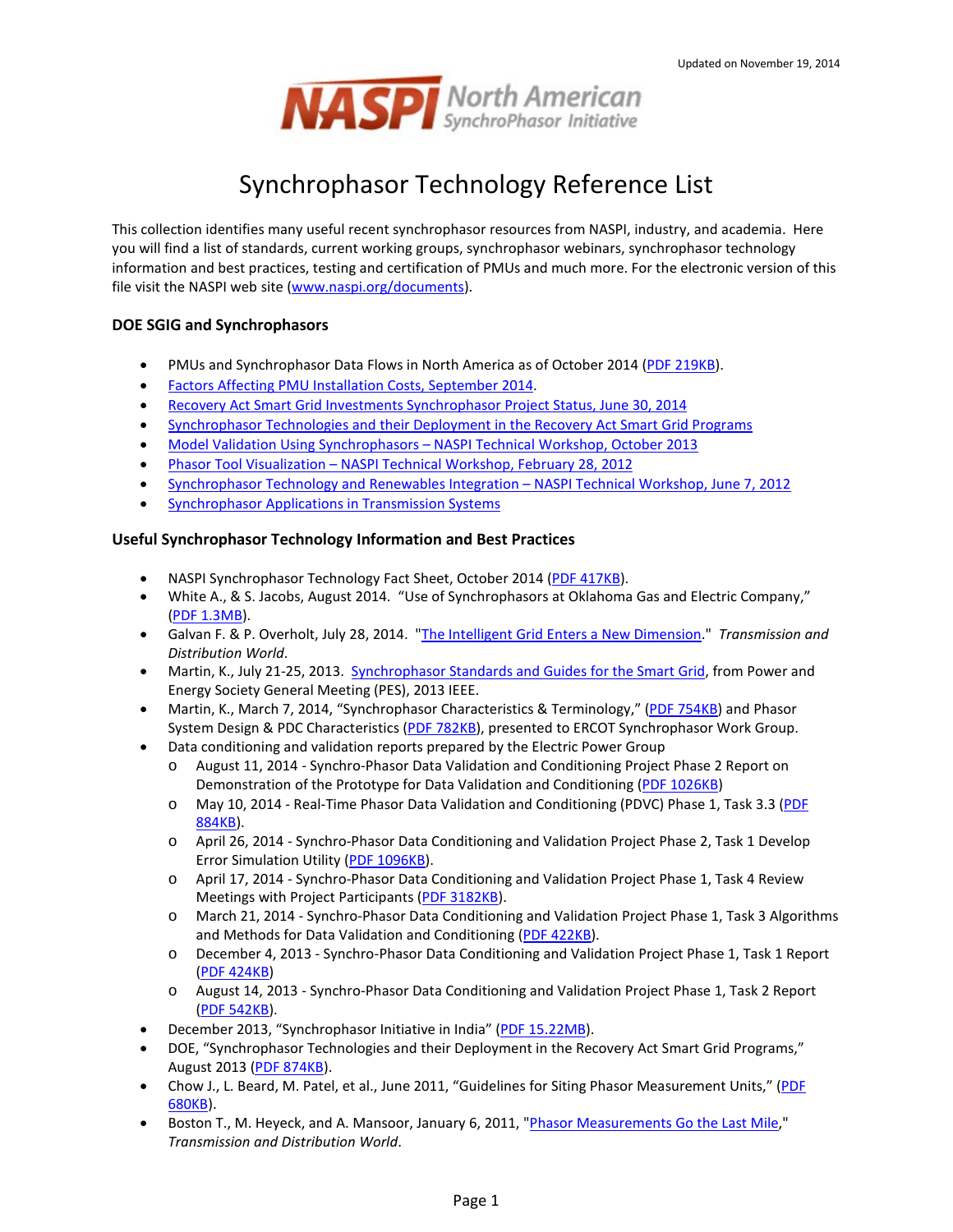

# Synchrophasor Technology Reference List

This collection identifies many useful recent synchrophasor resources from NASPI, industry, and academia. Here you will find a list of standards, current working groups, synchrophasor webinars, synchrophasor technology information and best practices, testing and certification of PMUs and much more. For the electronic version of this file visit the NASPI web site [\(www.naspi.org/documents\)](http://www.naspi.org/documents).

# **DOE SGIG and Synchrophasors**

- PMUs and Synchrophasor Data Flows in North America as of October 2014 [\(PDF 219KB\)](https://www.naspi.org/File.aspx?fileID=1328).
- [Factors Affecting PMU Installation Costs, September 2014.](https://www.google.com/url?sa=t&rct=j&q=&esrc=s&source=web&cd=1&cad=rja&uact=8&ved=0CCAQFjAA&url=https%3A%2F%2Fsmartgrid.gov%2Fsites%2Fdefault%2Ffiles%2Fdoc%2Ffiles%2FPMU_cost_study_Final_09232014.pdf&ei=2JY9VIKBL8elyAS6ooCgCw&usg=AFQjCNFkVmwcZ15y9WpkFhrnXABtgRUxkA&sig2=Wziy6DTi5wpsgqEC6fduUw&bvm=bv.77412846,d.aWw)
- [Recovery Act Smart Grid Investments Synchrophasor Project Status, June 30, 2014](https://www.smartgrid.gov/sites/default/files/synchrophasor_project_status_061014-1.pdf)
- [Synchrophasor Technologies and their Deployment in the Recovery Act Smart Grid Programs](https://www.smartgrid.gov/sites/default/files/doc/files/Synchrophasor%20Report%2008%2009%202013%20DOE%20%282%29%20version_0.pdf)
- Model Validation Using Synchrophasors [NASPI Technical Workshop, October 2013](https://smartgrid.gov/sites/default/files/doc/files/NASPI_model_validation_workshop.pdf)
- Phasor Tool Visualization [NASPI Technical Workshop, February 28, 2012](https://www.smartgrid.gov/sites/default/files/doc/files/NASPI_visualization_workshop_report_0.pdf)
- [Synchrophasor Technology and Renewables Integration –](https://www.smartgrid.gov/sites/default/files/doc/files/NASPI-NREL_renewables_integration_with_synchrophasors_0.pdf) NASPI Technical Workshop, June 7, 2012
- **Synchrophasor Applications in Transmission Systems**

## **Useful Synchrophasor Technology Information and Best Practices**

- NASPI Synchrophasor Technology Fact Sheet, October 2014 [\(PDF 417KB\)](https://www.naspi.org/File.aspx?fileID=1326).
- White A., & S. Jacobs, August 2014. "Use of Synchrophasors at Oklahoma Gas and Electric Company," [\(PDF 1.3MB\)](https://www.naspi.org/File.aspx?fileID=1318).
- Galvan F. & P. Overholt, July 28, 2014. ["The Intelligent Grid Enters a New Dimension.](http://tdworld.com/grid-opt-smart-grid/intelligent-grid-enters-new-dimension)" *Transmission and Distribution World*.
- Martin, K., July 21-25, 2013. [Synchrophasor Standards and Guides for the Smart Grid,](http://ieeexplore.ieee.org/stamp/stamp.jsp?tp=&arnumber=6672705) from Power and Energy Society General Meeting (PES), 2013 IEEE.
- Martin, K., March 7, 2014, "Synchrophasor Characteristics & Terminology," [\(PDF 754KB\)](https://www.naspi.org/File.aspx?fileID=1273) and Phasor System Design & PDC Characteristics [\(PDF 782KB\)](https://www.naspi.org/File.aspx?fileID=1274), presented to ERCOT Synchrophasor Work Group.
- Data conditioning and validation reports prepared by the Electric Power Group
	- o August 11, 2014 Synchro-Phasor Data Validation and Conditioning Project Phase 2 Report on Demonstration of the Prototype for Data Validation and Conditioning [\(PDF 1026KB\)](https://www.naspi.org/File.aspx?fileID=1321)
	- o May 10, 2014 Real-Time Phasor Data Validation and Conditioning (PDVC) Phase 1, Task 3.3 [\(PDF](https://www.naspi.org/File.aspx?fileID=1304)  [884KB\)](https://www.naspi.org/File.aspx?fileID=1304).
	- o April 26, 2014 Synchro-Phasor Data Conditioning and Validation Project Phase 2, Task 1 Develop Error Simulation Utility [\(PDF 1096KB\)](https://www.naspi.org/File.aspx?fileID=1305).
	- o April 17, 2014 Synchro-Phasor Data Conditioning and Validation Project Phase 1, Task 4 Review Meetings with Project Participants [\(PDF 3182KB\)](https://www.naspi.org/File.aspx?fileID=1307).
	- o March 21, 2014 Synchro-Phasor Data Conditioning and Validation Project Phase 1, Task 3 Algorithms and Methods for Data Validation and Conditioning [\(PDF 422KB\)](https://www.naspi.org/File.aspx?fileID=1306).
	- o December 4, 2013 Synchro-Phasor Data Conditioning and Validation Project Phase 1, Task 1 Report [\(PDF 424KB\)](https://www.naspi.org/File.aspx?fileID=1212)
	- o August 14, 2013 Synchro-Phasor Data Conditioning and Validation Project Phase 1, Task 2 Report [\(PDF 542KB\)](https://www.naspi.org/File.aspx?fileID=1213).
- December 2013, "Synchrophasor Initiative in India" [\(PDF 15.22MB\)](https://www.naspi.org/File.aspx?fileID=1276).
- DOE, "Synchrophasor Technologies and their Deployment in the Recovery Act Smart Grid Programs," August 2013 (PDF [874KB\)](https://www.naspi.org/File.aspx?fileID=1203).
- Chow J., L. Beard, M. Patel, et al., June 2011, "Guidelines for Siting Phasor Measurement Units," (PDF [680KB\)](https://www.naspi.org/File.aspx?fileID=518).
- Boston T., M. Heyeck, and A. Mansoor, January 6, 2011, ["Phasor Measurements Go the Last Mile,"](http://tdworld.com/smart_utility/phasor-measurements/) *Transmission and Distribution World*.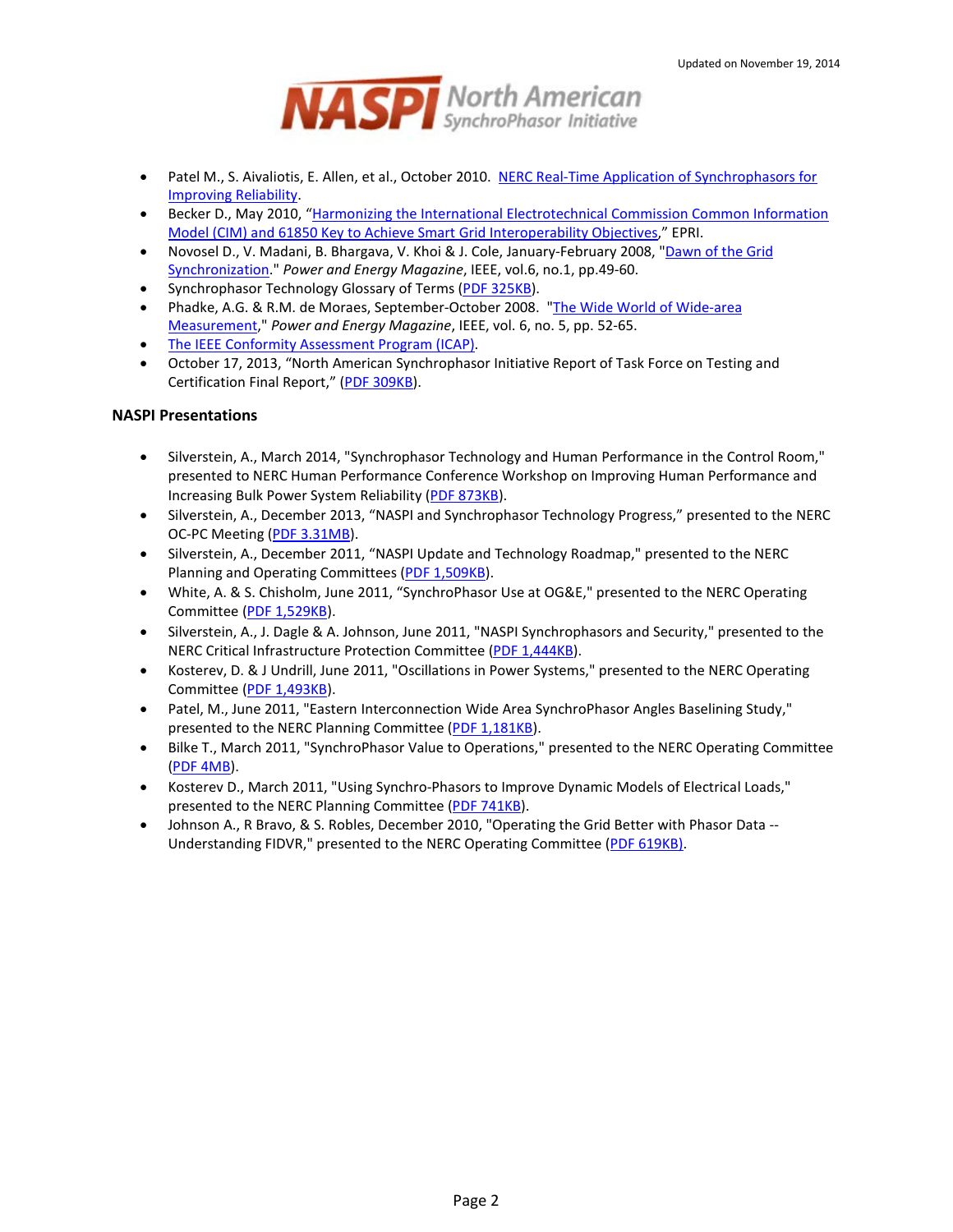

- Patel M., S. Aivaliotis, E. Allen, et al., October 2010. NERC Real-Time Application of Synchrophasors for [Improving Reliability.](https://www.naspi.org/File.aspx?fileID=519)
- Becker D., May 2010, "Harmonizing the International Electrotechnical Commission Common Information [Model \(CIM\) and 61850 Key to Achieve Smart Grid Interoperability Objectives,](https://www.naspi.org/File.aspx?fileID=529)" EPRI.
- Novosel D., V. Madani, B. Bhargava, V. Khoi & J. Cole, January-February 2008, "Dawn of the Grid [Synchronization.](https://www.naspi.org/File.aspx?fileID=526)" *Power and Energy Magazine*, IEEE, vol.6, no.1, pp.49-60.
- Synchrophasor Technology Glossary of Terms [\(PDF 325KB\)](https://www.naspi.org/File.aspx?fileID=541).
- Phadke, A.G. & R.M. de Moraes, September-October 2008. ["The Wide World of Wide-area](https://www.naspi.org/File.aspx?fileID=527)  [Measurement,"](https://www.naspi.org/File.aspx?fileID=527) *Power and Energy Magazine*, IEEE, vol. 6, no. 5, pp. 52-65.
- [The IEEE Conformity Assessment Program \(ICAP\).](http://ieee-icap.org/)
- October 17, 2013, "North American Synchrophasor Initiative Report of Task Force on Testing and Certification Final Report," [\(PDF 309KB\)](https://www.naspi.org/File.aspx?fileID=1149).

#### **NASPI Presentations**

- Silverstein, A., March 2014, "Synchrophasor Technology and Human Performance in the Control Room," presented to NERC Human Performance Conference Workshop on Improving Human Performance and Increasing Bulk Power System Reliability [\(PDF 873KB\)](https://www.naspi.org/File.aspx?fileID=1269).
- Silverstein, A., December 2013, "NASPI and Synchrophasor Technology Progress," presented to the NERC OC-PC Meeting [\(PDF 3.31MB\)](https://www.naspi.org/File.aspx?fileID=1216).
- Silverstein, A., December 2011, "NASPI Update and Technology Roadmap," presented to the NERC Planning and Operating Committees [\(PDF 1,509KB\)](https://www.naspi.org/File.aspx?fileID=745).
- White, A. & S. Chisholm, June 2011, "SynchroPhasor Use at OG&E," presented to the NERC Operating Committee [\(PDF 1,529KB\)](https://www.naspi.org/File.aspx?fileID=416).
- Silverstein, A., J. Dagle & A. Johnson, June 2011, "NASPI Synchrophasors and Security," presented to the NERC Critical Infrastructure Protection Committee [\(PDF 1,444KB\)](https://www.naspi.org/File.aspx?fileID=523).
- Kosterev, D. & J Undrill, June 2011, "Oscillations in Power Systems," presented to the NERC Operating Committee [\(PDF 1,493KB\)](https://www.naspi.org/File.aspx?fileID=521).
- Patel, M., June 2011, "Eastern Interconnection Wide Area SynchroPhasor Angles Baselining Study," presented to the NERC Planning Committee [\(PDF 1,181KB\)](https://www.naspi.org/File.aspx?fileID=524).
- Bilke T., March 2011, "SynchroPhasor Value to Operations," presented to the NERC Operating Committee [\(PDF 4MB\)](https://www.naspi.org/File.aspx?fileID=520).
- Kosterev D., March 2011, "Using Synchro-Phasors to Improve Dynamic Models of Electrical Loads," presented to the NERC Planning Committee [\(PDF 741KB\)](https://www.naspi.org/File.aspx?fileID=522).
- Johnson A., R Bravo, & S. Robles, December 2010, "Operating the Grid Better with Phasor Data -- Understanding FIDVR," presented to the NERC Operating Committee [\(PDF 619KB\).](https://www.naspi.org/File.aspx?fileID=530)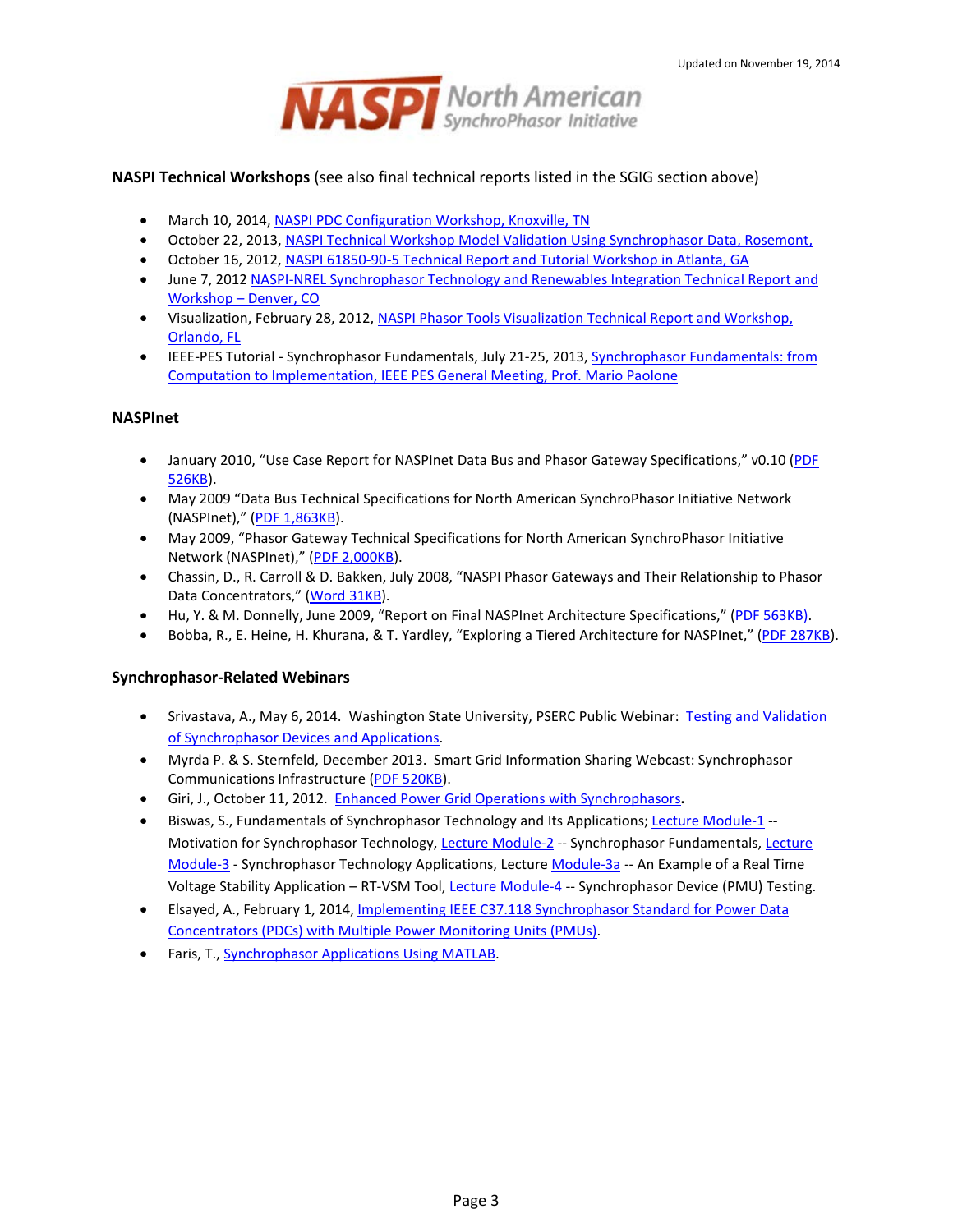

#### **NASPI Technical Workshops** (see also final technical reports listed in the SGIG section above)

- March 10, 2014[, NASPI PDC Configuration Workshop, Knoxville, TN](https://www.naspi.org/site/Module/Meeting/Forms/General.aspx?m__ID=MEETING&meetingid=323)
- October 22, 2013[, NASPI Technical Workshop Model Validation Using Synchrophasor Data, Rosemont,](https://www.naspi.org/site/Module/Meeting/Forms/General.aspx?m__ID=MEETING&meetingid=304)
- October 16, 2012[, NASPI 61850-90-5 Technical Report and Tutorial Workshop in Atlanta, GA](https://www.smartgrid.gov/recovery_act/program_impacts/applications_synchrophasor_technology)
- June 7, 2012 [NASPI-NREL Synchrophasor Technology and Renewables Integration Technical Report and](https://www.smartgrid.gov/recovery_act/program_impacts/applications_synchrophasor_technology)  [Workshop –](https://www.smartgrid.gov/recovery_act/program_impacts/applications_synchrophasor_technology) Denver, CO
- Visualization, February 28, 2012[, NASPI Phasor Tools Visualization Technical Report and Workshop,](https://www.smartgrid.gov/recovery_act/program_impacts/applications_synchrophasor_technology)  [Orlando, FL](https://www.smartgrid.gov/recovery_act/program_impacts/applications_synchrophasor_technology)
- IEEE-PES Tutorial Synchrophasor Fundamentals, July 21-25, 2013, [Synchrophasor Fundamentals: from](https://www.naspi.org/File.aspx?fileID=1147)  [Computation to Implementation, IEEE PES General Meeting, Prof. Mario Paolone](https://www.naspi.org/File.aspx?fileID=1147)

## **NASPInet**

- January 2010, "Use Case Report for NASPInet Data Bus and Phasor Gateway Specifications," v0.10 [\(PDF](https://www.naspi.org/File.aspx?fileID=542)  [526KB\)](https://www.naspi.org/File.aspx?fileID=542).
- May 2009 "Data Bus Technical Specifications for North American SynchroPhasor Initiative Network (NASPInet)," [\(PDF 1,863KB\)](https://www.naspi.org/File.aspx?fileID=587).
- May 2009, "Phasor Gateway Technical Specifications for North American SynchroPhasor Initiative Network (NASPInet)," [\(PDF 2,000KB\)](https://www.naspi.org/File.aspx?fileID=590).
- Chassin, D., R. Carroll & D. Bakken, July 2008, "NASPI Phasor Gateways and Their Relationship to Phasor Data Concentrators," [\(Word 31KB\)](https://www.naspi.org/File.aspx?fileID=601).
- **Hu, Y. & M. Donnelly, June 2009, "Report on Final NASPInet Architecture Specifications," [\(PDF 563KB\).](https://www.naspi.org/File.aspx?fileID=694)**
- Bobba, R., E. Heine, H. Khurana, & T. Yardley, "Exploring a Tiered Architecture for NASPInet," [\(PDF 287KB\)](https://www.naspi.org/File.aspx?fileID=1297).

#### **Synchrophasor-Related Webinars**

- Srivastava, A., May 6, 2014. Washington State University, PSERC Public Webinar: Testing and Validation [of Synchrophasor Devices and Applications.](http://www.google.com/url?sa=t&rct=j&q=&esrc=s&source=web&cd=7&cad=rja&uact=8&ved=0CE4QFjAG&url=http%3A%2F%2Fwww.pserc.wisc.edu%2Fdocuments%2Fgeneral_information%2Fpresentations%2Fpserc_seminars%2Fannouncements%2F2014_webinars%2FSrivastava_PSERC_Webinar_May_2014_Intro.pdf&ei=PEH-U5GDNMX8yQSe_4KADA&usg=AFQjCNHMJblo7jb4n9ffRwyHt7_LBpo14A&sig2=AKDf5i5K2QNFtZ20aTP4jg&bvm=bv.74035653,d.aWw)
- Myrda P. & S. Sternfeld, December 2013. Smart Grid Information Sharing Webcast: Synchrophasor Communications Infrastructure [\(PDF 520KB\)](https://www.naspi.org/File.aspx?fileID=1313).
- Giri, J., October 11, 2012. [Enhanced Power Grid Operations with Synchrophasors](https://www.youtube.com/watch?v=VMEKX_1U8dg)**.**
- Biswas, S., Fundamentals of Synchrophasor Technology and Its Applications; [Lecture Module-1](https://www.youtube.com/watch?v=4OQUzSeVIjA) --Motivation for Synchrophasor Technology[, Lecture Module-2](https://www.youtube.com/watch?v=qqcTGGV39AA) -- Synchrophasor Fundamentals, [Lecture](https://www.youtube.com/watch?v=3SLk6WGCXX8)  [Module-3](https://www.youtube.com/watch?v=3SLk6WGCXX8) - Synchrophasor Technology Applications, Lectur[e Module-3a](https://www.youtube.com/watch?v=U2cPgKoVJb4) -- An Example of a Real Time Voltage Stability Application – RT-VSM Tool, [Lecture Module-4](https://www.youtube.com/watch?v=gifk7DKo6uU) -- Synchrophasor Device (PMU) Testing.
- Elsayed, A., February 1, 2014, [Implementing IEEE C37.118 Synchrophasor Standard for Power Data](https://www.youtube.com/watch?v=SVdF2FlREAY)  [Concentrators \(PDCs\) with Multiple Power Monitoring Units \(PMUs\).](https://www.youtube.com/watch?v=SVdF2FlREAY)
- Faris, T., [Synchrophasor Applications Using MATLAB.](http://www.mathworks.com/company/events/conferences/energy-utilities-virtual-conference/2012/proceedings/synchrophasor-applications-using-matlab.html)